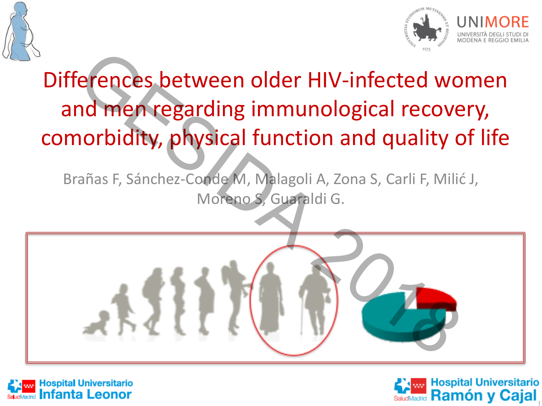



# Differences between older HIV-infected women and men regarding immunological recovery, comorbidity, physical function and quality of life

Brañas F, Sánchez-Conde M, Malagoli A, Zona S, Carli F, Milić J, Moreno S, Guaraldi G.





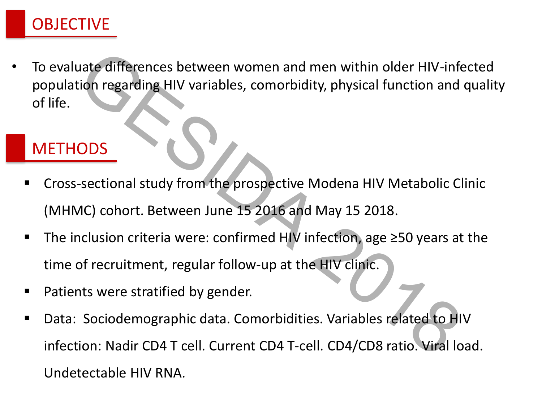

• To evaluate differences between women and men within older HIV-infected population regarding HIV variables, comorbidity, physical function and quality of life.

### **METHODS**

- Cross-sectional study from the prospective Modena HIV Metabolic Clinic (MHMC) cohort. Between June 15 2016 and May 15 2018.
- The inclusion criteria were: confirmed HIV infection, age ≥50 years at the time of recruitment, regular follow-up at the HIV clinic.
- Patients were stratified by gender.
- Data: Sociodemographic data. Comorbidities. Variables related to HIV infection: Nadir CD4 T cell. Current CD4 T-cell. CD4/CD8 ratio. Viral load. evaluate differences between women and men within older HIV-inferentian regarding HIV variables, comorbidity, physical function and ifife.<br>
IETHODS<br>
Cross-sectional study from the prospective Modena HIV Metabolic CI<br>
(MHM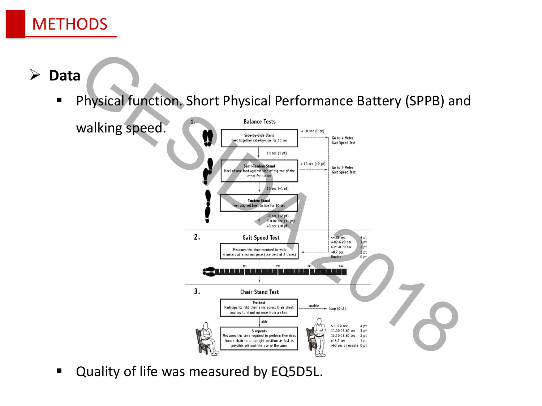

**Data**

Physical function. Short Physical Performance Battery (SPPB) and

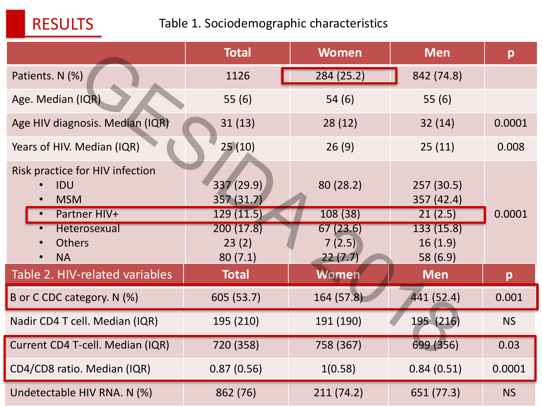

#### Table 1. Sociodemographic characteristics

|                                                                      | <b>Total</b>                          | <b>Women</b>                  | <b>Men</b>                          | p         |
|----------------------------------------------------------------------|---------------------------------------|-------------------------------|-------------------------------------|-----------|
| Patients. N (%)                                                      | 1126                                  | 284(25.2)                     | 842 (74.8)                          |           |
| Age. Median (IQR)                                                    | 55(6)                                 | 54(6)                         | 55 $(6)$                            |           |
| Age HIV diagnosis. Median (IQR)                                      | 31(13)                                | 28(12)                        | 32(14)                              | 0.0001    |
| Years of HIV. Median (IQR)                                           | 25(10)                                | 26(9)                         | 25(11)                              | 0.008     |
| Risk practice for HIV infection<br>IDU<br><b>MSM</b><br>Partner HIV+ | 337 (29.9)<br>357(31.7)<br>129 (11.5) | 80 (28.2)<br>108 (38)         | 257 (30.5)<br>357 (42.4)<br>21(2.5) | 0.0001    |
| Heterosexual<br><b>Others</b><br><b>NA</b>                           | 200(17.8)<br>23(2)<br>80(7.1)         | 67(23.6)<br>7(2.5)<br>22(7.7) | 133(15.8)<br>16(1.9)<br>58 (6.9)    |           |
| Table 2. HIV-related variables                                       | <b>Total</b>                          | Women                         | <b>Men</b>                          | p         |
| B or C CDC category. N (%)                                           | 605 (53.7)                            | 164 (57.8)                    | 441 (52.4)                          | 0.001     |
| Nadir CD4 T cell. Median (IQR)                                       | 195 (210)                             | 191 (190)                     | 195 (216)                           | <b>NS</b> |
| Current CD4 T-cell. Median (IQR)                                     | 720 (358)                             | 758 (367)                     | 699 (356)                           | 0.03      |
| CD4/CD8 ratio. Median (IQR)                                          | 0.87(0.56)                            | 1(0.58)                       | 0.84(0.51)                          | 0.0001    |
| Undetectable HIV RNA. N (%)                                          | 862 (76)                              | 211(74.2)                     | 651 (77.3)                          | <b>NS</b> |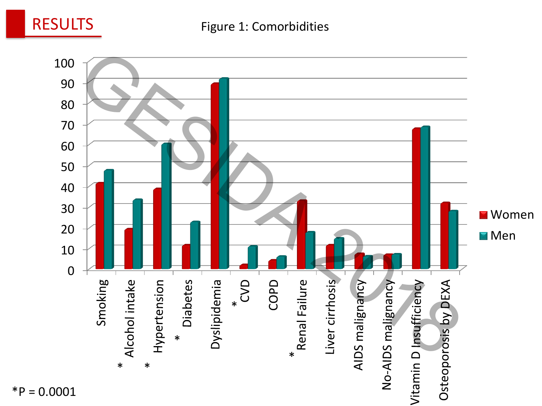

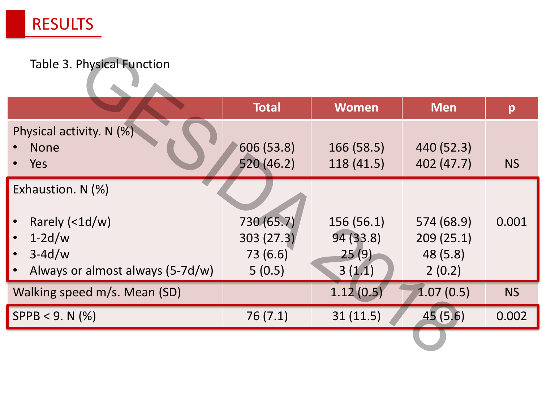

#### Table 3. Physical Function

| Table 3. Physical Function       |              |              |            |           |
|----------------------------------|--------------|--------------|------------|-----------|
|                                  | <b>Total</b> | <b>Women</b> | <b>Men</b> | p         |
| Physical activity. N (%)         |              |              |            |           |
| <b>None</b>                      | 606 (53.8)   | 166 (58.5)   | 440 (52.3) |           |
| Yes                              | 520 (46.2)   | 118 (41.5)   | 402 (47.7) | <b>NS</b> |
| Exhaustion. N (%)                |              |              |            |           |
| Rarely $(1d/w)$                  | 730 (65.7)   | 156(56.1)    | 574 (68.9) | 0.001     |
| $1-2d/w$                         | 303(27.3)    | 94(33.8)     | 209(25.1)  |           |
| $3-4d/w$                         | 73 (6.6)     | 25(9)        | 48 (5.8)   |           |
| Always or almost always (5-7d/w) | 5(0.5)       | 3(1.1)       | 2(0.2)     |           |
| Walking speed m/s. Mean (SD)     |              | 1.12(0.5)    | 1.07(0.5)  | <b>NS</b> |
| $SPPB < 9. N$ (%)                | 76(7.1)      | 31(11.5)     | 45 (5.6)   | 0.002     |
|                                  |              |              |            |           |